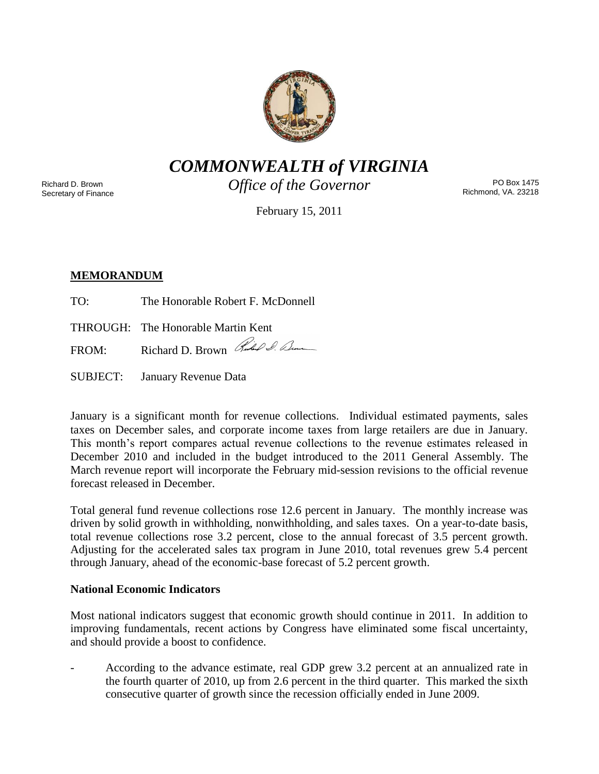

*COMMONWEALTH of VIRGINIA*

Richard D. Brown Secretary of Finance *Office of the Governor*

PO Box 1475 Richmond, VA. 23218

February 15, 2011

# **MEMORANDUM**

- TO: The Honorable Robert F. McDonnell
- THROUGH: The Honorable Martin Kent

FROM: Richard D. Brown Red & Com

SUBJECT: January Revenue Data

January is a significant month for revenue collections. Individual estimated payments, sales taxes on December sales, and corporate income taxes from large retailers are due in January. This month's report compares actual revenue collections to the revenue estimates released in December 2010 and included in the budget introduced to the 2011 General Assembly. The March revenue report will incorporate the February mid-session revisions to the official revenue forecast released in December.

Total general fund revenue collections rose 12.6 percent in January. The monthly increase was driven by solid growth in withholding, nonwithholding, and sales taxes. On a year-to-date basis, total revenue collections rose 3.2 percent, close to the annual forecast of 3.5 percent growth. Adjusting for the accelerated sales tax program in June 2010, total revenues grew 5.4 percent through January, ahead of the economic-base forecast of 5.2 percent growth.

## **National Economic Indicators**

Most national indicators suggest that economic growth should continue in 2011. In addition to improving fundamentals, recent actions by Congress have eliminated some fiscal uncertainty, and should provide a boost to confidence.

According to the advance estimate, real GDP grew 3.2 percent at an annualized rate in the fourth quarter of 2010, up from 2.6 percent in the third quarter. This marked the sixth consecutive quarter of growth since the recession officially ended in June 2009.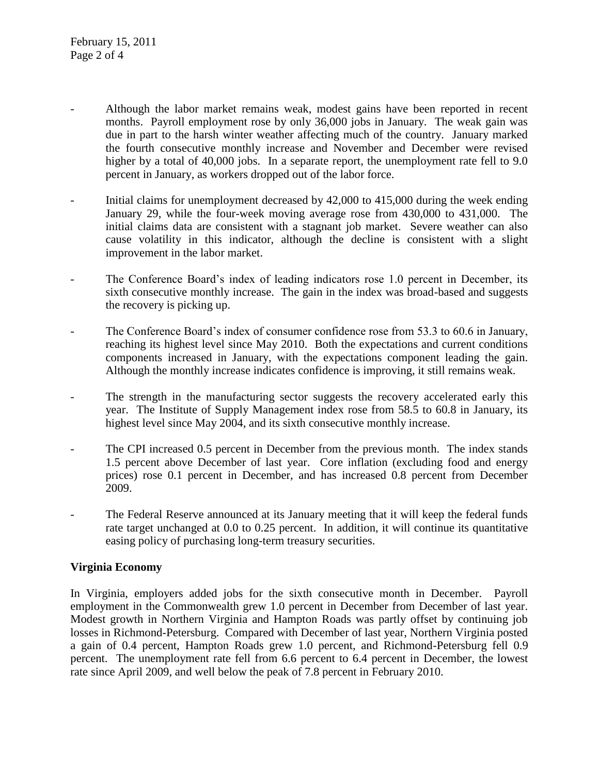- Although the labor market remains weak, modest gains have been reported in recent months. Payroll employment rose by only 36,000 jobs in January. The weak gain was due in part to the harsh winter weather affecting much of the country. January marked the fourth consecutive monthly increase and November and December were revised higher by a total of 40,000 jobs. In a separate report, the unemployment rate fell to 9.0 percent in January, as workers dropped out of the labor force.
- Initial claims for unemployment decreased by 42,000 to 415,000 during the week ending January 29, while the four-week moving average rose from 430,000 to 431,000. The initial claims data are consistent with a stagnant job market. Severe weather can also cause volatility in this indicator, although the decline is consistent with a slight improvement in the labor market.
- The Conference Board's index of leading indicators rose 1.0 percent in December, its sixth consecutive monthly increase. The gain in the index was broad-based and suggests the recovery is picking up.
- The Conference Board's index of consumer confidence rose from 53.3 to 60.6 in January, reaching its highest level since May 2010. Both the expectations and current conditions components increased in January, with the expectations component leading the gain. Although the monthly increase indicates confidence is improving, it still remains weak.
- The strength in the manufacturing sector suggests the recovery accelerated early this year. The Institute of Supply Management index rose from 58.5 to 60.8 in January, its highest level since May 2004, and its sixth consecutive monthly increase.
- The CPI increased 0.5 percent in December from the previous month. The index stands 1.5 percent above December of last year. Core inflation (excluding food and energy prices) rose 0.1 percent in December, and has increased 0.8 percent from December 2009.
- The Federal Reserve announced at its January meeting that it will keep the federal funds rate target unchanged at 0.0 to 0.25 percent. In addition, it will continue its quantitative easing policy of purchasing long-term treasury securities.

## **Virginia Economy**

In Virginia, employers added jobs for the sixth consecutive month in December. Payroll employment in the Commonwealth grew 1.0 percent in December from December of last year. Modest growth in Northern Virginia and Hampton Roads was partly offset by continuing job losses in Richmond-Petersburg. Compared with December of last year, Northern Virginia posted a gain of 0.4 percent, Hampton Roads grew 1.0 percent, and Richmond-Petersburg fell 0.9 percent. The unemployment rate fell from 6.6 percent to 6.4 percent in December, the lowest rate since April 2009, and well below the peak of 7.8 percent in February 2010.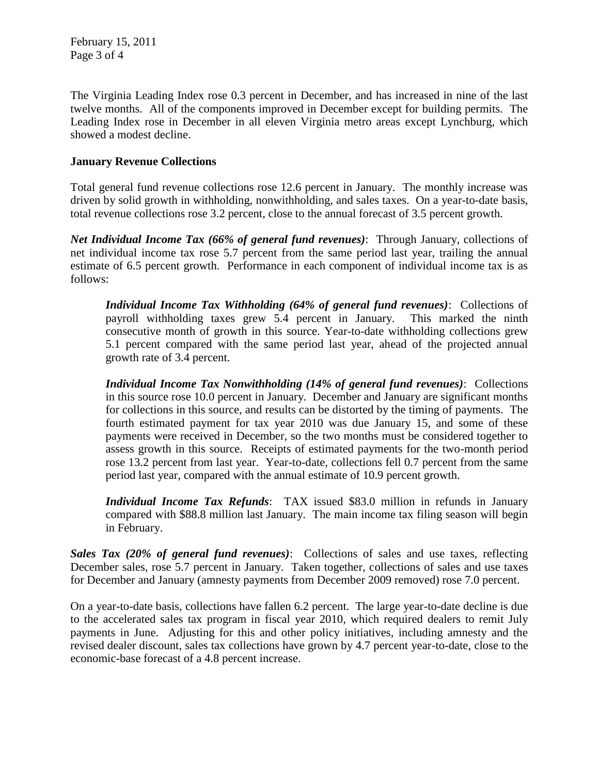February 15, 2011 Page 3 of 4

The Virginia Leading Index rose 0.3 percent in December, and has increased in nine of the last twelve months. All of the components improved in December except for building permits. The Leading Index rose in December in all eleven Virginia metro areas except Lynchburg, which showed a modest decline.

## **January Revenue Collections**

Total general fund revenue collections rose 12.6 percent in January. The monthly increase was driven by solid growth in withholding, nonwithholding, and sales taxes. On a year-to-date basis, total revenue collections rose 3.2 percent, close to the annual forecast of 3.5 percent growth.

*Net Individual Income Tax (66% of general fund revenues)*: Through January, collections of net individual income tax rose 5.7 percent from the same period last year, trailing the annual estimate of 6.5 percent growth. Performance in each component of individual income tax is as follows:

*Individual Income Tax Withholding (64% of general fund revenues)*: Collections of payroll withholding taxes grew 5.4 percent in January. This marked the ninth consecutive month of growth in this source. Year-to-date withholding collections grew 5.1 percent compared with the same period last year, ahead of the projected annual growth rate of 3.4 percent.

*Individual Income Tax Nonwithholding (14% of general fund revenues)*: Collections in this source rose 10.0 percent in January. December and January are significant months for collections in this source, and results can be distorted by the timing of payments. The fourth estimated payment for tax year 2010 was due January 15, and some of these payments were received in December, so the two months must be considered together to assess growth in this source. Receipts of estimated payments for the two-month period rose 13.2 percent from last year. Year-to-date, collections fell 0.7 percent from the same period last year, compared with the annual estimate of 10.9 percent growth.

*Individual Income Tax Refunds*: TAX issued \$83.0 million in refunds in January compared with \$88.8 million last January. The main income tax filing season will begin in February.

*Sales Tax (20% of general fund revenues)*: Collections of sales and use taxes, reflecting December sales, rose 5.7 percent in January. Taken together, collections of sales and use taxes for December and January (amnesty payments from December 2009 removed) rose 7.0 percent.

On a year-to-date basis, collections have fallen 6.2 percent. The large year-to-date decline is due to the accelerated sales tax program in fiscal year 2010, which required dealers to remit July payments in June. Adjusting for this and other policy initiatives, including amnesty and the revised dealer discount, sales tax collections have grown by 4.7 percent year-to-date, close to the economic-base forecast of a 4.8 percent increase.